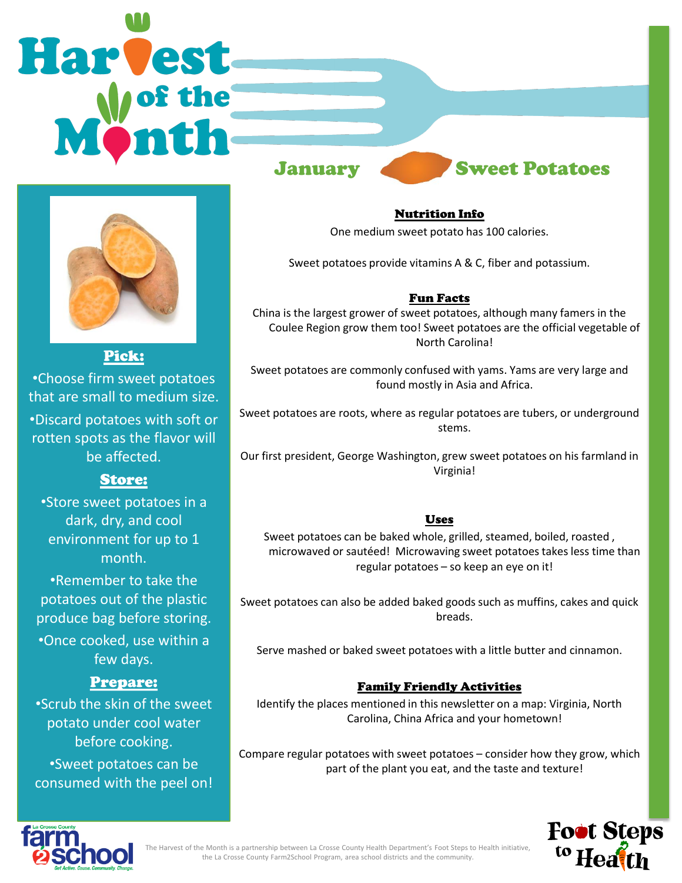# **Harvest** January Sweet Potatoes



Pick:

•Choose firm sweet potatoes that are small to medium size. •Discard potatoes with soft or rotten spots as the flavor will be affected.

# Store:

•Store sweet potatoes in a dark, dry, and cool environment for up to 1 month.

•Remember to take the potatoes out of the plastic produce bag before storing. •Once cooked, use within a few days.

## Prepare:

•Scrub the skin of the sweet potato under cool water before cooking. •Sweet potatoes can be consumed with the peel on! Nutrition Info

One medium sweet potato has 100 calories.

Sweet potatoes provide vitamins A & C, fiber and potassium.

### Fun Facts

China is the largest grower of sweet potatoes, although many famers in the Coulee Region grow them too! Sweet potatoes are the official vegetable of North Carolina!

Sweet potatoes are commonly confused with yams. Yams are very large and found mostly in Asia and Africa.

Sweet potatoes are roots, where as regular potatoes are tubers, or underground stems.

Our first president, George Washington, grew sweet potatoes on his farmland in Virginia!

## **Uses**

Sweet potatoes can be baked whole, grilled, steamed, boiled, roasted , microwaved or sautéed! Microwaving sweet potatoes takes less time than regular potatoes – so keep an eye on it!

Sweet potatoes can also be added baked goods such as muffins, cakes and quick breads.

Serve mashed or baked sweet potatoes with a little butter and cinnamon.

## Family Friendly Activities

Identify the places mentioned in this newsletter on a map: Virginia, North Carolina, China Africa and your hometown!

Compare regular potatoes with sweet potatoes – consider how they grow, which part of the plant you eat, and the taste and texture!